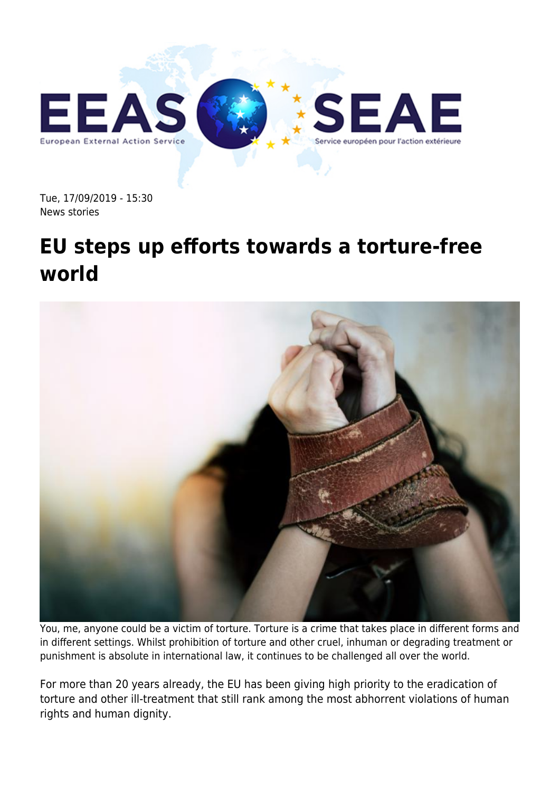

Tue, 17/09/2019 - 15:30 News stories

## **EU steps up efforts towards a torture-free world**



You, me, anyone could be a victim of torture. Torture is a crime that takes place in different forms and in different settings. Whilst prohibition of torture and other cruel, inhuman or degrading treatment or punishment is absolute in international law, it continues to be challenged all over the world.

For more than 20 years already, the EU has been giving high priority to the eradication of torture and other ill-treatment that still rank among the most abhorrent violations of human rights and human dignity.